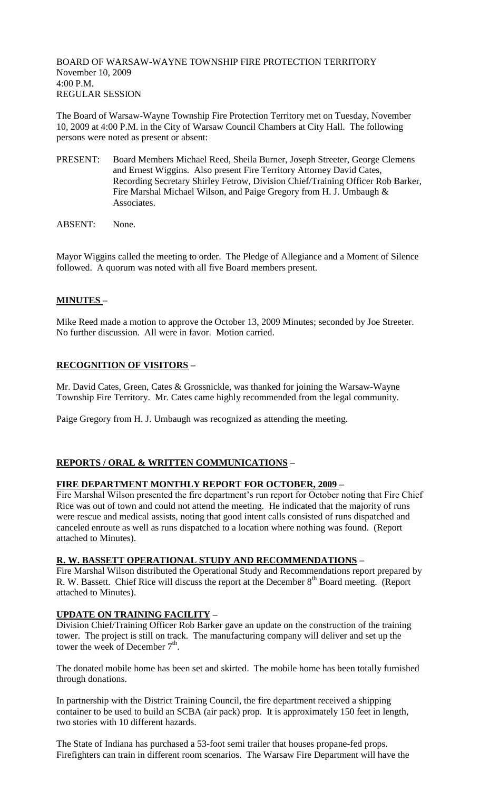BOARD OF WARSAW-WAYNE TOWNSHIP FIRE PROTECTION TERRITORY November 10, 2009 4:00 P.M. REGULAR SESSION

The Board of Warsaw-Wayne Township Fire Protection Territory met on Tuesday, November 10, 2009 at 4:00 P.M. in the City of Warsaw Council Chambers at City Hall. The following persons were noted as present or absent:

- PRESENT: Board Members Michael Reed, Sheila Burner, Joseph Streeter, George Clemens and Ernest Wiggins. Also present Fire Territory Attorney David Cates, Recording Secretary Shirley Fetrow, Division Chief/Training Officer Rob Barker, Fire Marshal Michael Wilson, and Paige Gregory from H. J. Umbaugh & Associates.
- ABSENT: None.

Mayor Wiggins called the meeting to order. The Pledge of Allegiance and a Moment of Silence followed. A quorum was noted with all five Board members present.

# **MINUTES –**

Mike Reed made a motion to approve the October 13, 2009 Minutes; seconded by Joe Streeter. No further discussion. All were in favor. Motion carried.

# **RECOGNITION OF VISITORS –**

Mr. David Cates, Green, Cates & Grossnickle, was thanked for joining the Warsaw-Wayne Township Fire Territory. Mr. Cates came highly recommended from the legal community.

Paige Gregory from H. J. Umbaugh was recognized as attending the meeting.

# **REPORTS / ORAL & WRITTEN COMMUNICATIONS –**

### **FIRE DEPARTMENT MONTHLY REPORT FOR OCTOBER, 2009 –**

Fire Marshal Wilson presented the fire department's run report for October noting that Fire Chief Rice was out of town and could not attend the meeting. He indicated that the majority of runs were rescue and medical assists, noting that good intent calls consisted of runs dispatched and canceled enroute as well as runs dispatched to a location where nothing was found. (Report attached to Minutes).

### **R. W. BASSETT OPERATIONAL STUDY AND RECOMMENDATIONS –**

Fire Marshal Wilson distributed the Operational Study and Recommendations report prepared by R. W. Bassett. Chief Rice will discuss the report at the December 8<sup>th</sup> Board meeting. (Report attached to Minutes).

# **UPDATE ON TRAINING FACILITY –**

Division Chief/Training Officer Rob Barker gave an update on the construction of the training tower. The project is still on track. The manufacturing company will deliver and set up the tower the week of December  $7<sup>th</sup>$ .

The donated mobile home has been set and skirted. The mobile home has been totally furnished through donations.

In partnership with the District Training Council, the fire department received a shipping container to be used to build an SCBA (air pack) prop. It is approximately 150 feet in length, two stories with 10 different hazards.

The State of Indiana has purchased a 53-foot semi trailer that houses propane-fed props. Firefighters can train in different room scenarios. The Warsaw Fire Department will have the